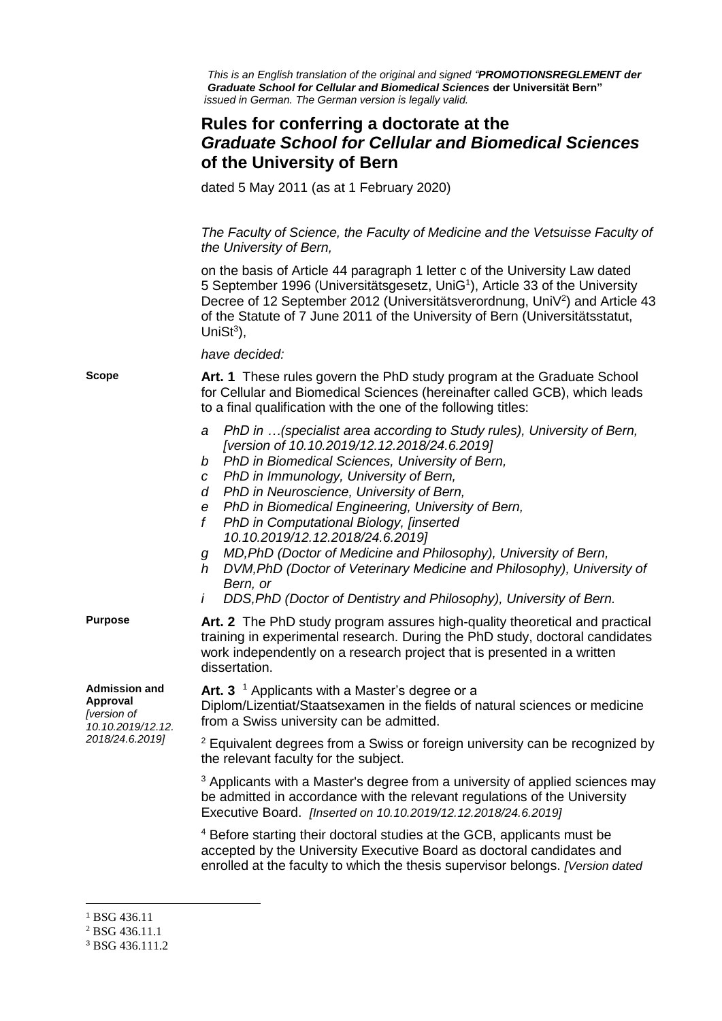*This is an English translation of the original and signed "PROMOTIONSREGLEMENT der Graduate School for Cellular and Biomedical Sciences* **der Universität Bern"**  *issued in German. The German version is legally valid.*

## **Rules for conferring a doctorate at the** *Graduate School for Cellular and Biomedical Sciences* **of the University of Bern**

dated 5 May 2011 (as at 1 February 2020)

*The Faculty of Science, the Faculty of Medicine and the Vetsuisse Faculty of the University of Bern,*

on the basis of Article 44 paragraph 1 letter c of the University Law dated 5 September 1996 (Universitätsgesetz, UniG<sup>1</sup>), Article 33 of the University Decree of 12 September 2012 (Universitätsverordnung, UniV<sup>2</sup>) and Article 43 of the Statute of 7 June 2011 of the University of Bern (Universitätsstatut, Uni $St^3$ ),

*have decided:*

**Scope Art. 1** These rules govern the PhD study program at the Graduate School for Cellular and Biomedical Sciences (hereinafter called GCB), which leads to a final qualification with the one of the following titles:

- *a PhD in …(specialist area according to Study rules), University of Bern, [version of 10.10.2019/12.12.2018/24.6.2019]*
- *b PhD in Biomedical Sciences, University of Bern,*
- *c PhD in Immunology, University of Bern,*
- *d PhD in Neuroscience, University of Bern,*
- *e PhD in Biomedical Engineering, University of Bern,*
- *f PhD in Computational Biology, [inserted 10.10.2019/12.12.2018/24.6.2019]*
- *g MD,PhD (Doctor of Medicine and Philosophy), University of Bern,*
- *h DVM,PhD (Doctor of Veterinary Medicine and Philosophy), University of Bern, or*
- *i DDS,PhD (Doctor of Dentistry and Philosophy), University of Bern.*

**Purpose Art. 2**The PhD study program assures high-quality theoretical and practical training in experimental research. During the PhD study, doctoral candidates work independently on a research project that is presented in a written dissertation.

**Admission and Approval** *[version of 10.10.2019/12.12. 2018/24.6.2019]*

Art. 3<sup>1</sup> Applicants with a Master's degree or a Diplom/Lizentiat/Staatsexamen in the fields of natural sciences or medicine from a Swiss university can be admitted.

<sup>2</sup> Equivalent degrees from a Swiss or foreign university can be recognized by the relevant faculty for the subject.

 $3$  Applicants with a Master's degree from a university of applied sciences may be admitted in accordance with the relevant regulations of the University Executive Board. *[Inserted on 10.10.2019/12.12.2018/24.6.2019]*

<sup>4</sup> Before starting their doctoral studies at the GCB, applicants must be accepted by the University Executive Board as doctoral candidates and enrolled at the faculty to which the thesis supervisor belongs. *[Version dated* 

 $\overline{a}$ <sup>1</sup> BSG 436.11

<sup>2</sup> BSG 436.11.1

<sup>3</sup> BSG 436.111.2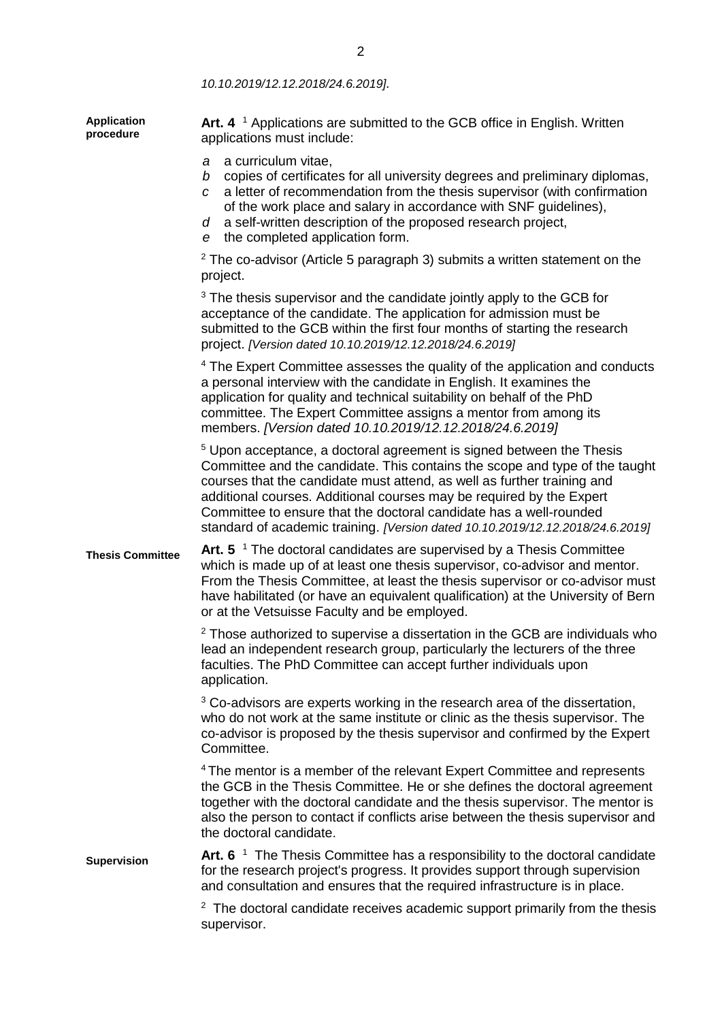*10.10.2019/12.12.2018/24.6.2019].*

| <b>Application</b><br>procedure | Art. 4 $\textsuperscript{1}$ Applications are submitted to the GCB office in English. Written<br>applications must include:                                                                                                                                                                                                                                                                                                                                               |
|---------------------------------|---------------------------------------------------------------------------------------------------------------------------------------------------------------------------------------------------------------------------------------------------------------------------------------------------------------------------------------------------------------------------------------------------------------------------------------------------------------------------|
|                                 | a curriculum vitae,<br>a<br>copies of certificates for all university degrees and preliminary diplomas,<br>b<br>a letter of recommendation from the thesis supervisor (with confirmation<br>$\overline{c}$<br>of the work place and salary in accordance with SNF guidelines),<br>a self-written description of the proposed research project,<br>d<br>the completed application form.<br>е                                                                               |
|                                 | $2$ The co-advisor (Article 5 paragraph 3) submits a written statement on the<br>project.                                                                                                                                                                                                                                                                                                                                                                                 |
|                                 | <sup>3</sup> The thesis supervisor and the candidate jointly apply to the GCB for<br>acceptance of the candidate. The application for admission must be<br>submitted to the GCB within the first four months of starting the research<br>project. [Version dated 10.10.2019/12.12.2018/24.6.2019]                                                                                                                                                                         |
|                                 | <sup>4</sup> The Expert Committee assesses the quality of the application and conducts<br>a personal interview with the candidate in English. It examines the<br>application for quality and technical suitability on behalf of the PhD<br>committee. The Expert Committee assigns a mentor from among its<br>members. [Version dated 10.10.2019/12.12.2018/24.6.2019]                                                                                                    |
|                                 | <sup>5</sup> Upon acceptance, a doctoral agreement is signed between the Thesis<br>Committee and the candidate. This contains the scope and type of the taught<br>courses that the candidate must attend, as well as further training and<br>additional courses. Additional courses may be required by the Expert<br>Committee to ensure that the doctoral candidate has a well-rounded<br>standard of academic training. [Version dated 10.10.2019/12.12.2018/24.6.2019] |
| <b>Thesis Committee</b>         | Art. $5^{-1}$ The doctoral candidates are supervised by a Thesis Committee<br>which is made up of at least one thesis supervisor, co-advisor and mentor.<br>From the Thesis Committee, at least the thesis supervisor or co-advisor must<br>have habilitated (or have an equivalent qualification) at the University of Bern<br>or at the Vetsuisse Faculty and be employed.                                                                                              |
|                                 | <sup>2</sup> Those authorized to supervise a dissertation in the GCB are individuals who<br>lead an independent research group, particularly the lecturers of the three<br>faculties. The PhD Committee can accept further individuals upon<br>application.                                                                                                                                                                                                               |
|                                 | <sup>3</sup> Co-advisors are experts working in the research area of the dissertation,<br>who do not work at the same institute or clinic as the thesis supervisor. The<br>co-advisor is proposed by the thesis supervisor and confirmed by the Expert<br>Committee.                                                                                                                                                                                                      |
|                                 | <sup>4</sup> The mentor is a member of the relevant Expert Committee and represents<br>the GCB in the Thesis Committee. He or she defines the doctoral agreement<br>together with the doctoral candidate and the thesis supervisor. The mentor is<br>also the person to contact if conflicts arise between the thesis supervisor and<br>the doctoral candidate.                                                                                                           |
| <b>Supervision</b>              | Art. 6 <sup>1</sup> The Thesis Committee has a responsibility to the doctoral candidate<br>for the research project's progress. It provides support through supervision<br>and consultation and ensures that the required infrastructure is in place.                                                                                                                                                                                                                     |
|                                 | <sup>2</sup> The doctoral candidate receives academic support primarily from the thesis<br>supervisor.                                                                                                                                                                                                                                                                                                                                                                    |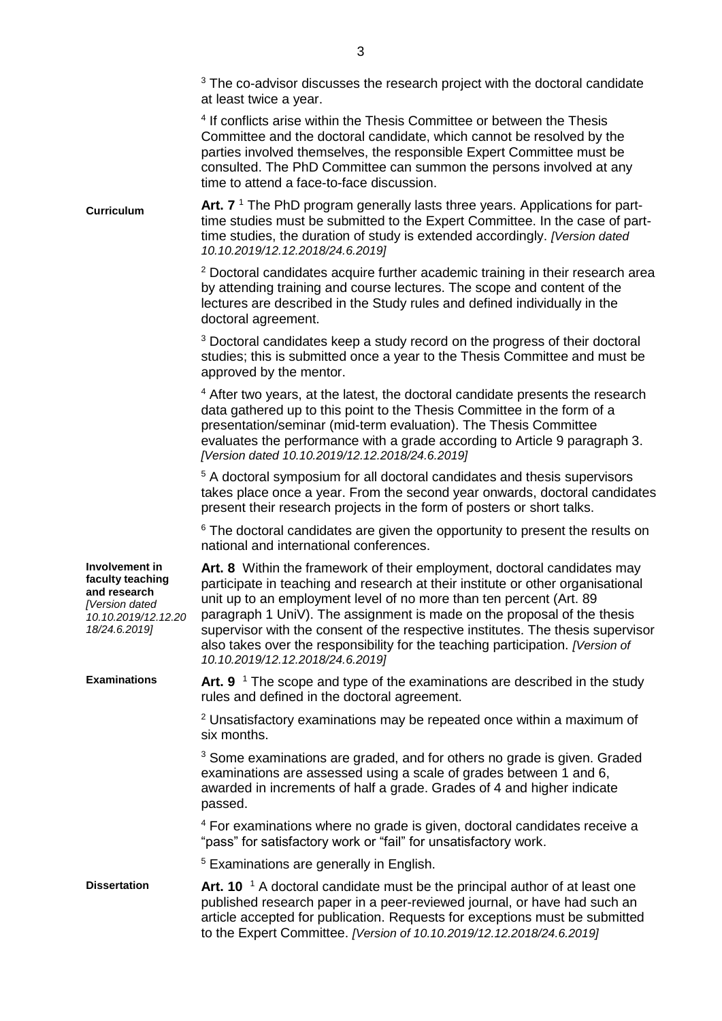|                                                                                                              | <sup>3</sup> The co-advisor discusses the research project with the doctoral candidate<br>at least twice a year.                                                                                                                                                                                                                                                                                                                                                                                                       |
|--------------------------------------------------------------------------------------------------------------|------------------------------------------------------------------------------------------------------------------------------------------------------------------------------------------------------------------------------------------------------------------------------------------------------------------------------------------------------------------------------------------------------------------------------------------------------------------------------------------------------------------------|
|                                                                                                              | <sup>4</sup> If conflicts arise within the Thesis Committee or between the Thesis<br>Committee and the doctoral candidate, which cannot be resolved by the<br>parties involved themselves, the responsible Expert Committee must be<br>consulted. The PhD Committee can summon the persons involved at any<br>time to attend a face-to-face discussion.                                                                                                                                                                |
| <b>Curriculum</b>                                                                                            | Art. $71$ The PhD program generally lasts three years. Applications for part-<br>time studies must be submitted to the Expert Committee. In the case of part-<br>time studies, the duration of study is extended accordingly. [Version dated<br>10.10.2019/12.12.2018/24.6.2019]                                                                                                                                                                                                                                       |
|                                                                                                              | <sup>2</sup> Doctoral candidates acquire further academic training in their research area<br>by attending training and course lectures. The scope and content of the<br>lectures are described in the Study rules and defined individually in the<br>doctoral agreement.                                                                                                                                                                                                                                               |
|                                                                                                              | <sup>3</sup> Doctoral candidates keep a study record on the progress of their doctoral<br>studies; this is submitted once a year to the Thesis Committee and must be<br>approved by the mentor.                                                                                                                                                                                                                                                                                                                        |
|                                                                                                              | <sup>4</sup> After two years, at the latest, the doctoral candidate presents the research<br>data gathered up to this point to the Thesis Committee in the form of a<br>presentation/seminar (mid-term evaluation). The Thesis Committee<br>evaluates the performance with a grade according to Article 9 paragraph 3.<br>[Version dated 10.10.2019/12.12.2018/24.6.2019]                                                                                                                                              |
|                                                                                                              | <sup>5</sup> A doctoral symposium for all doctoral candidates and thesis supervisors<br>takes place once a year. From the second year onwards, doctoral candidates<br>present their research projects in the form of posters or short talks.                                                                                                                                                                                                                                                                           |
|                                                                                                              | <sup>6</sup> The doctoral candidates are given the opportunity to present the results on<br>national and international conferences.                                                                                                                                                                                                                                                                                                                                                                                    |
| Involvement in<br>faculty teaching<br>and research<br>[Version dated<br>10.10.2019/12.12.20<br>18/24.6.2019] | Art. 8 Within the framework of their employment, doctoral candidates may<br>participate in teaching and research at their institute or other organisational<br>unit up to an employment level of no more than ten percent (Art. 89<br>paragraph 1 UniV). The assignment is made on the proposal of the thesis<br>supervisor with the consent of the respective institutes. The thesis supervisor<br>also takes over the responsibility for the teaching participation. [Version of<br>10.10.2019/12.12.2018/24.6.2019] |
| <b>Examinations</b>                                                                                          | Art. 9 <sup>1</sup> The scope and type of the examinations are described in the study<br>rules and defined in the doctoral agreement.                                                                                                                                                                                                                                                                                                                                                                                  |
|                                                                                                              | <sup>2</sup> Unsatisfactory examinations may be repeated once within a maximum of<br>six months.                                                                                                                                                                                                                                                                                                                                                                                                                       |
|                                                                                                              | <sup>3</sup> Some examinations are graded, and for others no grade is given. Graded<br>examinations are assessed using a scale of grades between 1 and 6,<br>awarded in increments of half a grade. Grades of 4 and higher indicate<br>passed.                                                                                                                                                                                                                                                                         |
|                                                                                                              | <sup>4</sup> For examinations where no grade is given, doctoral candidates receive a<br>"pass" for satisfactory work or "fail" for unsatisfactory work.                                                                                                                                                                                                                                                                                                                                                                |
|                                                                                                              | <sup>5</sup> Examinations are generally in English.                                                                                                                                                                                                                                                                                                                                                                                                                                                                    |
| <b>Dissertation</b>                                                                                          | Art. 10 <sup><math>1</math></sup> A doctoral candidate must be the principal author of at least one<br>published research paper in a peer-reviewed journal, or have had such an<br>article accepted for publication. Requests for exceptions must be submitted<br>to the Expert Committee. [Version of 10.10.2019/12.12.2018/24.6.2019]                                                                                                                                                                                |
|                                                                                                              |                                                                                                                                                                                                                                                                                                                                                                                                                                                                                                                        |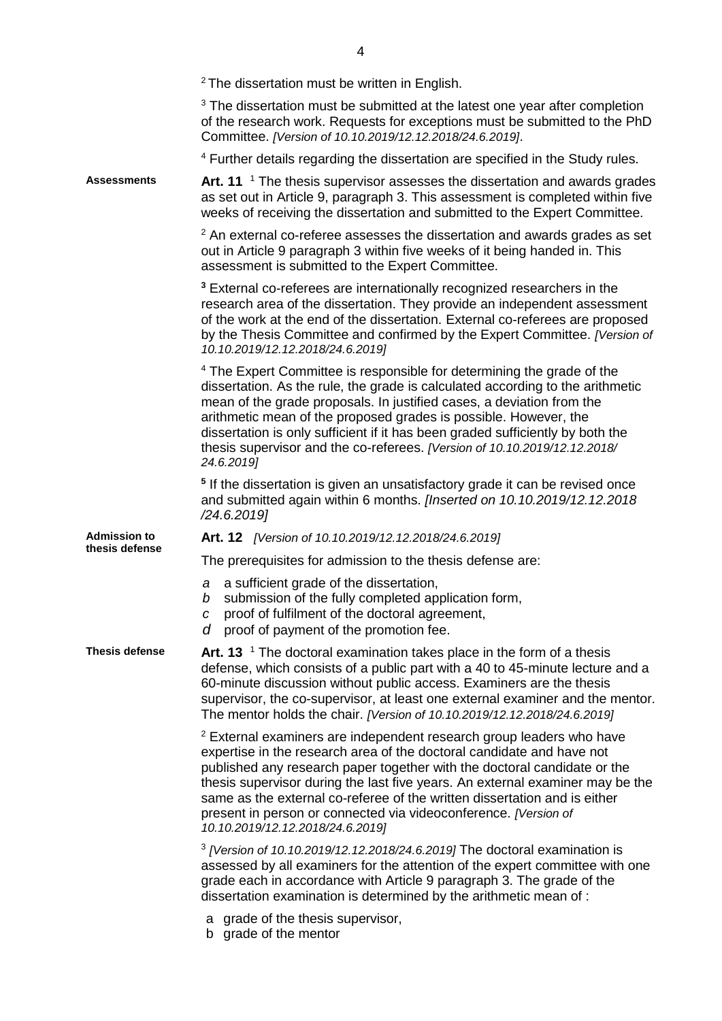|                     | <sup>2</sup> The dissertation must be written in English.                                                                                                                                                                                                                                                                                                                                                                                                                                                 |
|---------------------|-----------------------------------------------------------------------------------------------------------------------------------------------------------------------------------------------------------------------------------------------------------------------------------------------------------------------------------------------------------------------------------------------------------------------------------------------------------------------------------------------------------|
|                     | <sup>3</sup> The dissertation must be submitted at the latest one year after completion<br>of the research work. Requests for exceptions must be submitted to the PhD<br>Committee. [Version of 10.10.2019/12.12.2018/24.6.2019].                                                                                                                                                                                                                                                                         |
|                     | <sup>4</sup> Further details regarding the dissertation are specified in the Study rules.                                                                                                                                                                                                                                                                                                                                                                                                                 |
| <b>Assessments</b>  | Art. 11 <sup>1</sup> The thesis supervisor assesses the dissertation and awards grades<br>as set out in Article 9, paragraph 3. This assessment is completed within five<br>weeks of receiving the dissertation and submitted to the Expert Committee.                                                                                                                                                                                                                                                    |
|                     | $2$ An external co-referee assesses the dissertation and awards grades as set<br>out in Article 9 paragraph 3 within five weeks of it being handed in. This<br>assessment is submitted to the Expert Committee.                                                                                                                                                                                                                                                                                           |
|                     | <sup>3</sup> External co-referees are internationally recognized researchers in the<br>research area of the dissertation. They provide an independent assessment<br>of the work at the end of the dissertation. External co-referees are proposed<br>by the Thesis Committee and confirmed by the Expert Committee. [Version of<br>10.10.2019/12.12.2018/24.6.2019]                                                                                                                                       |
|                     | <sup>4</sup> The Expert Committee is responsible for determining the grade of the<br>dissertation. As the rule, the grade is calculated according to the arithmetic<br>mean of the grade proposals. In justified cases, a deviation from the<br>arithmetic mean of the proposed grades is possible. However, the<br>dissertation is only sufficient if it has been graded sufficiently by both the<br>thesis supervisor and the co-referees. [Version of 10.10.2019/12.12.2018/<br>24.6.2019]             |
|                     | <sup>5</sup> If the dissertation is given an unsatisfactory grade it can be revised once<br>and submitted again within 6 months. [Inserted on 10.10.2019/12.12.2018<br>/24.6.2019                                                                                                                                                                                                                                                                                                                         |
| <b>Admission to</b> | Art. 12 [Version of 10.10.2019/12.12.2018/24.6.2019]                                                                                                                                                                                                                                                                                                                                                                                                                                                      |
| thesis defense      | The prerequisites for admission to the thesis defense are:                                                                                                                                                                                                                                                                                                                                                                                                                                                |
|                     | a sufficient grade of the dissertation,<br>a<br>submission of the fully completed application form,<br>b<br>proof of fulfilment of the doctoral agreement,<br>C<br>proof of payment of the promotion fee.<br>d                                                                                                                                                                                                                                                                                            |
| Thesis defense      | Art. 13 $\,$ The doctoral examination takes place in the form of a thesis<br>defense, which consists of a public part with a 40 to 45-minute lecture and a<br>60-minute discussion without public access. Examiners are the thesis<br>supervisor, the co-supervisor, at least one external examiner and the mentor.<br>The mentor holds the chair. [Version of 10.10.2019/12.12.2018/24.6.2019]                                                                                                           |
|                     | <sup>2</sup> External examiners are independent research group leaders who have<br>expertise in the research area of the doctoral candidate and have not<br>published any research paper together with the doctoral candidate or the<br>thesis supervisor during the last five years. An external examiner may be the<br>same as the external co-referee of the written dissertation and is either<br>present in person or connected via videoconference. [Version of<br>10.10.2019/12.12.2018/24.6.2019] |
|                     | $3$ [Version of 10.10.2019/12.12.2018/24.6.2019] The doctoral examination is<br>assessed by all examiners for the attention of the expert committee with one<br>grade each in accordance with Article 9 paragraph 3. The grade of the<br>dissertation examination is determined by the arithmetic mean of:                                                                                                                                                                                                |
|                     | grade of the thesis supervisor,<br>а<br>b grade of the mentor                                                                                                                                                                                                                                                                                                                                                                                                                                             |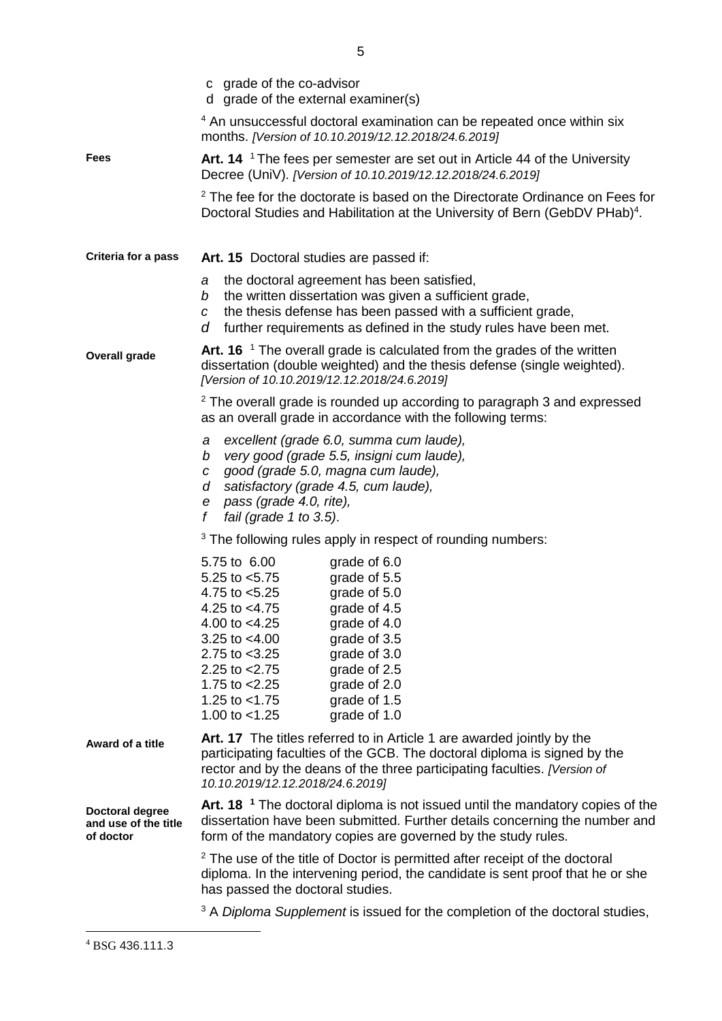|                                                      | c grade of the co-advisor<br>d grade of the external examiner(s)                                                                                                                                                                                                                                                                                                                                     |  |  |
|------------------------------------------------------|------------------------------------------------------------------------------------------------------------------------------------------------------------------------------------------------------------------------------------------------------------------------------------------------------------------------------------------------------------------------------------------------------|--|--|
|                                                      | <sup>4</sup> An unsuccessful doctoral examination can be repeated once within six<br>months. [Version of 10.10.2019/12.12.2018/24.6.2019]                                                                                                                                                                                                                                                            |  |  |
| <b>Fees</b>                                          | Art. 14 <sup>1</sup> The fees per semester are set out in Article 44 of the University<br>Decree (UniV). [Version of 10.10.2019/12.12.2018/24.6.2019]                                                                                                                                                                                                                                                |  |  |
|                                                      | <sup>2</sup> The fee for the doctorate is based on the Directorate Ordinance on Fees for<br>Doctoral Studies and Habilitation at the University of Bern (GebDV PHab) <sup>4</sup> .                                                                                                                                                                                                                  |  |  |
| Criteria for a pass                                  | Art. 15 Doctoral studies are passed if:<br>the doctoral agreement has been satisfied,<br>а<br>the written dissertation was given a sufficient grade,<br>b<br>the thesis defense has been passed with a sufficient grade,<br>$\mathcal{C}$<br>further requirements as defined in the study rules have been met.<br>d                                                                                  |  |  |
|                                                      |                                                                                                                                                                                                                                                                                                                                                                                                      |  |  |
| <b>Overall grade</b>                                 | Art. 16 <sup><math>-1</math></sup> The overall grade is calculated from the grades of the written<br>dissertation (double weighted) and the thesis defense (single weighted).<br>[Version of 10.10.2019/12.12.2018/24.6.2019]                                                                                                                                                                        |  |  |
|                                                      | <sup>2</sup> The overall grade is rounded up according to paragraph 3 and expressed<br>as an overall grade in accordance with the following terms:                                                                                                                                                                                                                                                   |  |  |
|                                                      | excellent (grade 6.0, summa cum laude),<br>а<br>very good (grade 5.5, insigni cum laude),<br>b<br>good (grade 5.0, magna cum laude),<br>$\mathcal{C}$<br>satisfactory (grade 4.5, cum laude),<br>d<br>pass (grade 4.0, rite),<br>e<br>f<br>fail (grade 1 to 3.5).                                                                                                                                    |  |  |
|                                                      | <sup>3</sup> The following rules apply in respect of rounding numbers:                                                                                                                                                                                                                                                                                                                               |  |  |
|                                                      | 5.75 to 6.00<br>grade of 6.0<br>grade of 5.5<br>5.25 to $<$ 5.75<br>4.75 to $< 5.25$<br>grade of 5.0<br>4.25 to $<$ 4.75<br>grade of 4.5<br>4.00 to $<$ 4.25<br>grade of 4.0<br>grade of 3.5<br>3.25 to $<$ 4.00<br>2.75 to $<$ 3.25<br>grade of 3.0<br>2.25 to $<$ 2.75<br>grade of 2.5<br>grade of 2.0<br>1.75 to $<$ 2.25<br>1.25 to $<$ 1.75<br>grade of 1.5<br>1.00 to $<$ 1.25<br>grade of 1.0 |  |  |
| Award of a title                                     | Art. 17 The titles referred to in Article 1 are awarded jointly by the<br>participating faculties of the GCB. The doctoral diploma is signed by the<br>rector and by the deans of the three participating faculties. [Version of<br>10.10.2019/12.12.2018/24.6.2019]                                                                                                                                 |  |  |
| Doctoral degree<br>and use of the title<br>of doctor | Art. 18 <sup>1</sup> The doctoral diploma is not issued until the mandatory copies of the<br>dissertation have been submitted. Further details concerning the number and<br>form of the mandatory copies are governed by the study rules.                                                                                                                                                            |  |  |
|                                                      | <sup>2</sup> The use of the title of Doctor is permitted after receipt of the doctoral<br>diploma. In the intervening period, the candidate is sent proof that he or she<br>has passed the doctoral studies.                                                                                                                                                                                         |  |  |
|                                                      | <sup>3</sup> A Diploma Supplement is issued for the completion of the doctoral studies,                                                                                                                                                                                                                                                                                                              |  |  |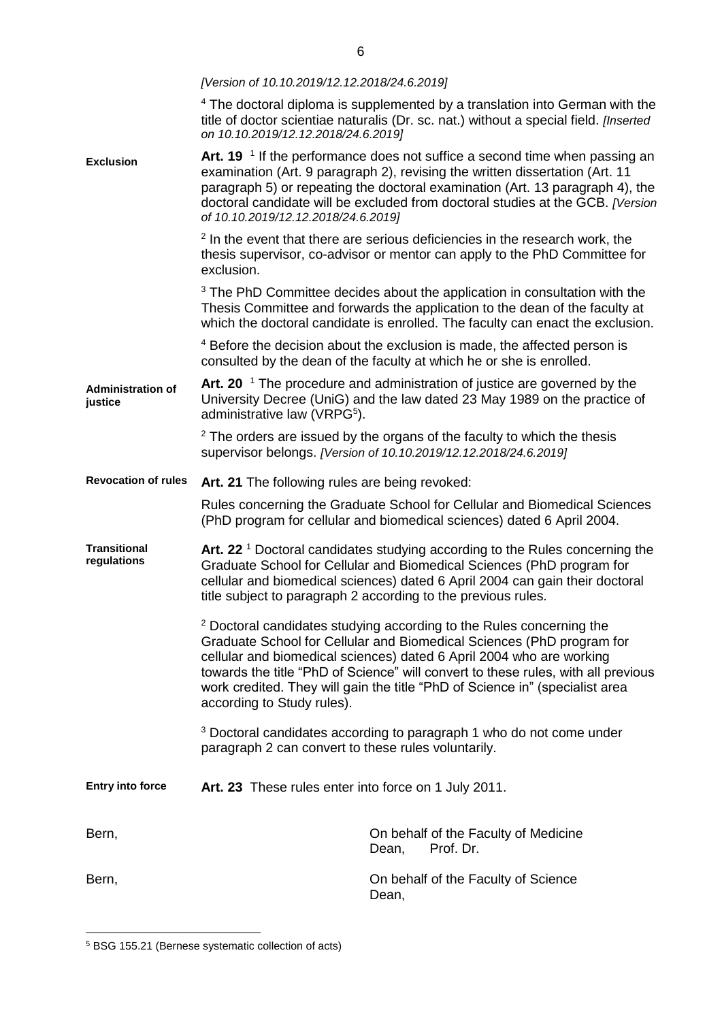|                                     | [Version of 10.10.2019/12.12.2018/24.6.2019]                                                                                                                                                                                                                                                                                                                                                                                        |                                                                                                                                                                                                                                                                                                                                                        |  |
|-------------------------------------|-------------------------------------------------------------------------------------------------------------------------------------------------------------------------------------------------------------------------------------------------------------------------------------------------------------------------------------------------------------------------------------------------------------------------------------|--------------------------------------------------------------------------------------------------------------------------------------------------------------------------------------------------------------------------------------------------------------------------------------------------------------------------------------------------------|--|
|                                     | on 10.10.2019/12.12.2018/24.6.2019]                                                                                                                                                                                                                                                                                                                                                                                                 | <sup>4</sup> The doctoral diploma is supplemented by a translation into German with the<br>title of doctor scientiae naturalis (Dr. sc. nat.) without a special field. [Inserted                                                                                                                                                                       |  |
| <b>Exclusion</b>                    | of 10.10.2019/12.12.2018/24.6.2019]                                                                                                                                                                                                                                                                                                                                                                                                 | Art. 19 <sup><math>1</math></sup> If the performance does not suffice a second time when passing an<br>examination (Art. 9 paragraph 2), revising the written dissertation (Art. 11<br>paragraph 5) or repeating the doctoral examination (Art. 13 paragraph 4), the<br>doctoral candidate will be excluded from doctoral studies at the GCB. [Version |  |
|                                     | exclusion.                                                                                                                                                                                                                                                                                                                                                                                                                          | <sup>2</sup> In the event that there are serious deficiencies in the research work, the<br>thesis supervisor, co-advisor or mentor can apply to the PhD Committee for                                                                                                                                                                                  |  |
|                                     |                                                                                                                                                                                                                                                                                                                                                                                                                                     | <sup>3</sup> The PhD Committee decides about the application in consultation with the<br>Thesis Committee and forwards the application to the dean of the faculty at<br>which the doctoral candidate is enrolled. The faculty can enact the exclusion.                                                                                                 |  |
|                                     |                                                                                                                                                                                                                                                                                                                                                                                                                                     | <sup>4</sup> Before the decision about the exclusion is made, the affected person is<br>consulted by the dean of the faculty at which he or she is enrolled.                                                                                                                                                                                           |  |
| <b>Administration of</b><br>justice | administrative law (VRPG <sup>5</sup> ).                                                                                                                                                                                                                                                                                                                                                                                            | Art. 20 $\mathrm{^1}$ The procedure and administration of justice are governed by the<br>University Decree (UniG) and the law dated 23 May 1989 on the practice of                                                                                                                                                                                     |  |
|                                     |                                                                                                                                                                                                                                                                                                                                                                                                                                     | $2$ The orders are issued by the organs of the faculty to which the thesis<br>supervisor belongs. [Version of 10.10.2019/12.12.2018/24.6.2019]                                                                                                                                                                                                         |  |
| <b>Revocation of rules</b>          | Art. 21 The following rules are being revoked:                                                                                                                                                                                                                                                                                                                                                                                      |                                                                                                                                                                                                                                                                                                                                                        |  |
|                                     |                                                                                                                                                                                                                                                                                                                                                                                                                                     | Rules concerning the Graduate School for Cellular and Biomedical Sciences<br>(PhD program for cellular and biomedical sciences) dated 6 April 2004.                                                                                                                                                                                                    |  |
| <b>Transitional</b><br>regulations  |                                                                                                                                                                                                                                                                                                                                                                                                                                     | Art. 22 <sup>1</sup> Doctoral candidates studying according to the Rules concerning the<br>Graduate School for Cellular and Biomedical Sciences (PhD program for<br>cellular and biomedical sciences) dated 6 April 2004 can gain their doctoral<br>title subject to paragraph 2 according to the previous rules.                                      |  |
|                                     | <sup>2</sup> Doctoral candidates studying according to the Rules concerning the<br>Graduate School for Cellular and Biomedical Sciences (PhD program for<br>cellular and biomedical sciences) dated 6 April 2004 who are working<br>towards the title "PhD of Science" will convert to these rules, with all previous<br>work credited. They will gain the title "PhD of Science in" (specialist area<br>according to Study rules). |                                                                                                                                                                                                                                                                                                                                                        |  |
|                                     | paragraph 2 can convert to these rules voluntarily.                                                                                                                                                                                                                                                                                                                                                                                 | <sup>3</sup> Doctoral candidates according to paragraph 1 who do not come under                                                                                                                                                                                                                                                                        |  |
| <b>Entry into force</b>             | Art. 23 These rules enter into force on 1 July 2011.                                                                                                                                                                                                                                                                                                                                                                                |                                                                                                                                                                                                                                                                                                                                                        |  |
| Bern,                               |                                                                                                                                                                                                                                                                                                                                                                                                                                     | On behalf of the Faculty of Medicine<br>Prof. Dr.<br>Dean,                                                                                                                                                                                                                                                                                             |  |
| Bern,                               |                                                                                                                                                                                                                                                                                                                                                                                                                                     | On behalf of the Faculty of Science<br>Dean,                                                                                                                                                                                                                                                                                                           |  |

 $\overline{a}$ 

<sup>5</sup> BSG 155.21 (Bernese systematic collection of acts)